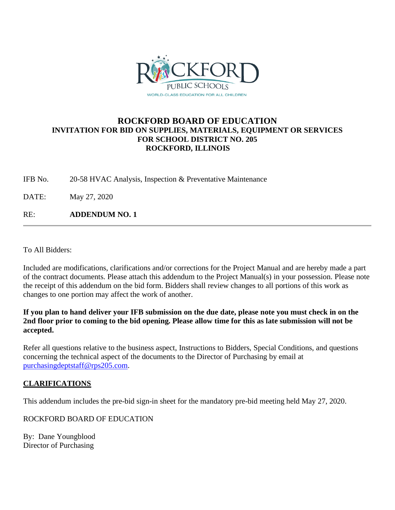

## **ROCKFORD BOARD OF EDUCATION INVITATION FOR BID ON SUPPLIES, MATERIALS, EQUIPMENT OR SERVICES FOR SCHOOL DISTRICT NO. 205 ROCKFORD, ILLINOIS**

IFB No. 20-58 HVAC Analysis, Inspection & Preventative Maintenance

DATE: May 27, 2020

RE: **ADDENDUM NO. 1**

To All Bidders:

Included are modifications, clarifications and/or corrections for the Project Manual and are hereby made a part of the contract documents. Please attach this addendum to the Project Manual(s) in your possession. Please note the receipt of this addendum on the bid form. Bidders shall review changes to all portions of this work as changes to one portion may affect the work of another.

**If you plan to hand deliver your IFB submission on the due date, please note you must check in on the 2nd floor prior to coming to the bid opening. Please allow time for this as late submission will not be accepted.**

Refer all questions relative to the business aspect, Instructions to Bidders, Special Conditions, and questions concerning the technical aspect of the documents to the Director of Purchasing by email at [purchasingdeptstaff@rps205.com.](mailto:purchasingdeptstaff@rps205.com)

#### **CLARIFICATIONS**

This addendum includes the pre-bid sign-in sheet for the mandatory pre-bid meeting held May 27, 2020.

ROCKFORD BOARD OF EDUCATION

By: Dane Youngblood Director of Purchasing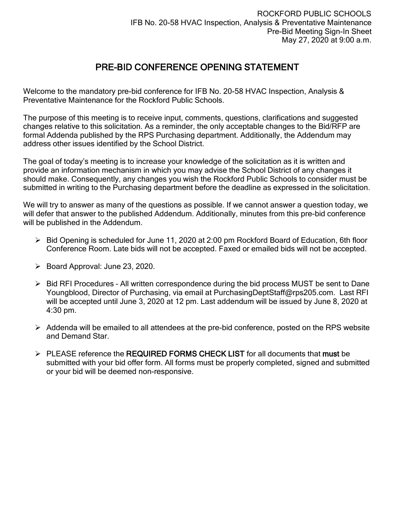# PRE-BID CONFERENCE OPENING STATEMENT

Welcome to the mandatory pre-bid conference for IFB No. 20-58 HVAC Inspection, Analysis & Preventative Maintenance for the Rockford Public Schools.

The purpose of this meeting is to receive input, comments, questions, clarifications and suggested changes relative to this solicitation. As a reminder, the only acceptable changes to the Bid/RFP are formal Addenda published by the RPS Purchasing department. Additionally, the Addendum may address other issues identified by the School District.

The goal of today's meeting is to increase your knowledge of the solicitation as it is written and provide an information mechanism in which you may advise the School District of any changes it should make. Consequently, any changes you wish the Rockford Public Schools to consider must be submitted in writing to the Purchasing department before the deadline as expressed in the solicitation.

We will try to answer as many of the questions as possible. If we cannot answer a question today, we will defer that answer to the published Addendum. Additionally, minutes from this pre-bid conference will be published in the Addendum.

- $\triangleright$  Bid Opening is scheduled for June 11, 2020 at 2:00 pm Rockford Board of Education, 6th floor Conference Room. Late bids will not be accepted. Faxed or emailed bids will not be accepted.
- $\triangleright$  Board Approval: June 23, 2020.
- $\triangleright$  Bid RFI Procedures All written correspondence during the bid process MUST be sent to Dane Youngblood, Director of Purchasing, via email at PurchasingDeptStaff@rps205.com. Last RFI will be accepted until June 3, 2020 at 12 pm. Last addendum will be issued by June 8, 2020 at 4:30 pm.
- $\triangleright$  Addenda will be emailed to all attendees at the pre-bid conference, posted on the RPS website and Demand Star.
- $\triangleright$  PLEASE reference the REQUIRED FORMS CHECK LIST for all documents that must be submitted with your bid offer form. All forms must be properly completed, signed and submitted or your bid will be deemed non-responsive.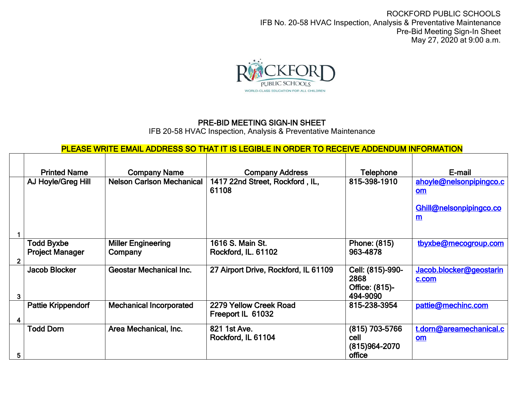ROCKFORD PUBLIC SCHOOLS IFB No. 20-58 HVAC Inspection, Analysis & Preventative Maintenance Pre-Bid Meeting Sign-In Sheet May 27, 2020 at 9:00 a.m.



## PRE-BID MEETING SIGN-IN SHEET

IFB 20-58 HVAC Inspection, Analysis & Preventative Maintenance

# PLEASE WRITE EMAIL ADDRESS SO THAT IT IS LEGIBLE IN ORDER TO RECEIVE ADDENDUM INFORMATION

|   | <b>Printed Name</b>                         | <b>Company Name</b>                  | <b>Company Address</b>                      | Telephone                                              | E-mail                                                                      |
|---|---------------------------------------------|--------------------------------------|---------------------------------------------|--------------------------------------------------------|-----------------------------------------------------------------------------|
|   | AJ Hoyle/Greg Hill                          | <b>Nelson Carlson Mechanical</b>     | 1417 22nd Street, Rockford, IL,<br>61108    | 815-398-1910                                           | ahoyle@nelsonpipingco.c<br><u>om</u><br>Ghill@nelsonpipingco.co<br><u>m</u> |
|   | <b>Todd Byxbe</b><br><b>Project Manager</b> | <b>Miller Engineering</b><br>Company | 1616 S. Main St.<br>Rockford, IL. 61102     | Phone: (815)<br>963-4878                               | tbyxbe@mecogroup.com                                                        |
| 3 | Jacob Blocker                               | <b>Geostar Mechanical Inc.</b>       | 27 Airport Drive, Rockford, IL 61109        | Cell: (815)-990-<br>2868<br>Office: (815)-<br>494-9090 | Jacob.blocker@geostarin<br>c.com                                            |
|   | <b>Pattie Krippendorf</b>                   | <b>Mechanical Incorporated</b>       | 2279 Yellow Creek Road<br>Freeport IL 61032 | 815-238-3954                                           | pattie@mechinc.com                                                          |
| 5 | <b>Todd Dorn</b>                            | Area Mechanical, Inc.                | 821 1st Ave.<br>Rockford, IL 61104          | (815) 703-5766<br>cell<br>(815)964-2070<br>office      | t.dorn@areamechanical.c<br><b>om</b>                                        |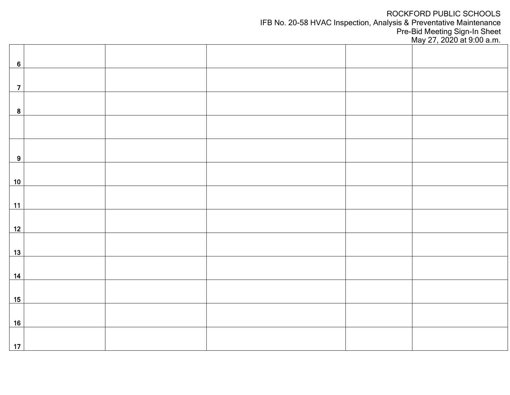## ROCKFORD PUBLIC SCHOOLS

IFB No. 20-58 HVAC Inspection, Analysis & Preventative Maintenance

Pre-Bid Meeting Sign-In Sheet

May 27, 2020 at 9:00 a.m.

| $\bf 6$        |  |  |  |
|----------------|--|--|--|
| $\overline{7}$ |  |  |  |
|                |  |  |  |
| ${\bf 8}$      |  |  |  |
|                |  |  |  |
| 9              |  |  |  |
| 10             |  |  |  |
| $\frac{11}{1}$ |  |  |  |
| 12             |  |  |  |
| 13             |  |  |  |
| 14             |  |  |  |
| 15             |  |  |  |
| 16             |  |  |  |
| 17             |  |  |  |